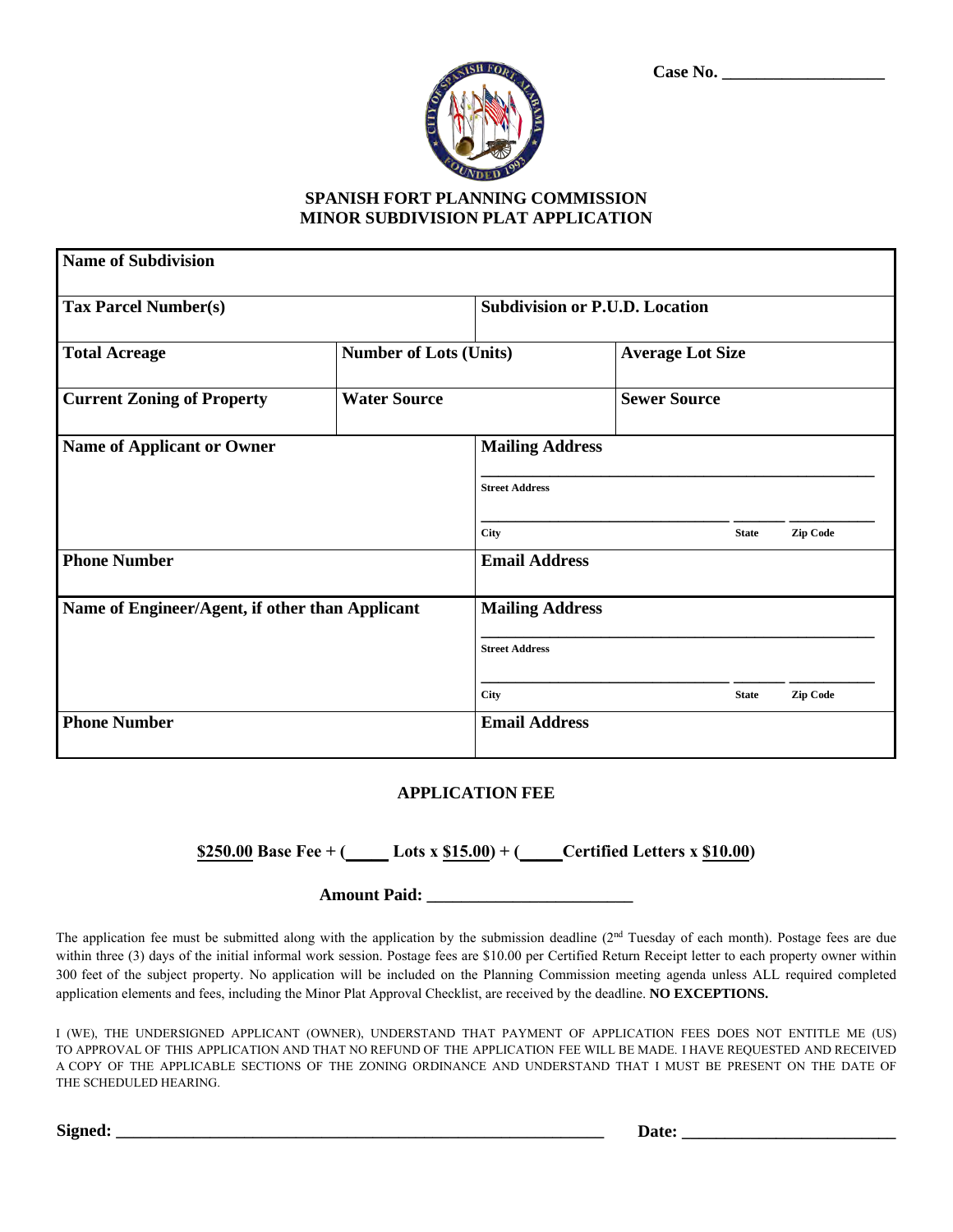| Case No. |  |
|----------|--|
|          |  |



## **SPANISH FORT PLANNING COMMISSION MINOR SUBDIVISION PLAT APPLICATION**

| <b>Name of Subdivision</b>                      |                               |                                                         |  |                         |          |  |
|-------------------------------------------------|-------------------------------|---------------------------------------------------------|--|-------------------------|----------|--|
| <b>Tax Parcel Number(s)</b>                     |                               | <b>Subdivision or P.U.D. Location</b>                   |  |                         |          |  |
| <b>Total Acreage</b>                            | <b>Number of Lots (Units)</b> |                                                         |  | <b>Average Lot Size</b> |          |  |
| <b>Current Zoning of Property</b>               | <b>Water Source</b>           |                                                         |  | <b>Sewer Source</b>     |          |  |
| <b>Name of Applicant or Owner</b>               |                               | <b>Mailing Address</b><br><b>Street Address</b><br>City |  | <b>State</b>            | Zip Code |  |
| <b>Phone Number</b>                             |                               | <b>Email Address</b>                                    |  |                         |          |  |
| Name of Engineer/Agent, if other than Applicant |                               | <b>Mailing Address</b><br><b>Street Address</b>         |  |                         |          |  |
| <b>Phone Number</b>                             |                               | City<br><b>Email Address</b>                            |  | <b>State</b>            | Zip Code |  |
|                                                 |                               |                                                         |  |                         |          |  |

## **APPLICATION FEE**

**\$250.00 Base Fee + (\_\_\_\_\_ Lots x \$15.00) + (\_\_\_\_\_Certified Letters x \$10.00)**

**Amount Paid: \_\_\_\_\_\_\_\_\_\_\_\_\_\_\_\_\_\_\_\_\_\_\_\_**

The application fee must be submitted along with the application by the submission deadline  $(2<sup>nd</sup> Tuesday of each month)$ . Postage fees are due within three (3) days of the initial informal work session. Postage fees are \$10.00 per Certified Return Receipt letter to each property owner within 300 feet of the subject property. No application will be included on the Planning Commission meeting agenda unless ALL required completed application elements and fees, including the Minor Plat Approval Checklist, are received by the deadline. **NO EXCEPTIONS.**

I (WE), THE UNDERSIGNED APPLICANT (OWNER), UNDERSTAND THAT PAYMENT OF APPLICATION FEES DOES NOT ENTITLE ME (US) TO APPROVAL OF THIS APPLICATION AND THAT NO REFUND OF THE APPLICATION FEE WILL BE MADE. I HAVE REQUESTED AND RECEIVED A COPY OF THE APPLICABLE SECTIONS OF THE ZONING ORDINANCE AND UNDERSTAND THAT I MUST BE PRESENT ON THE DATE OF THE SCHEDULED HEARING.

**Signed:**  $\qquad \qquad$  Date: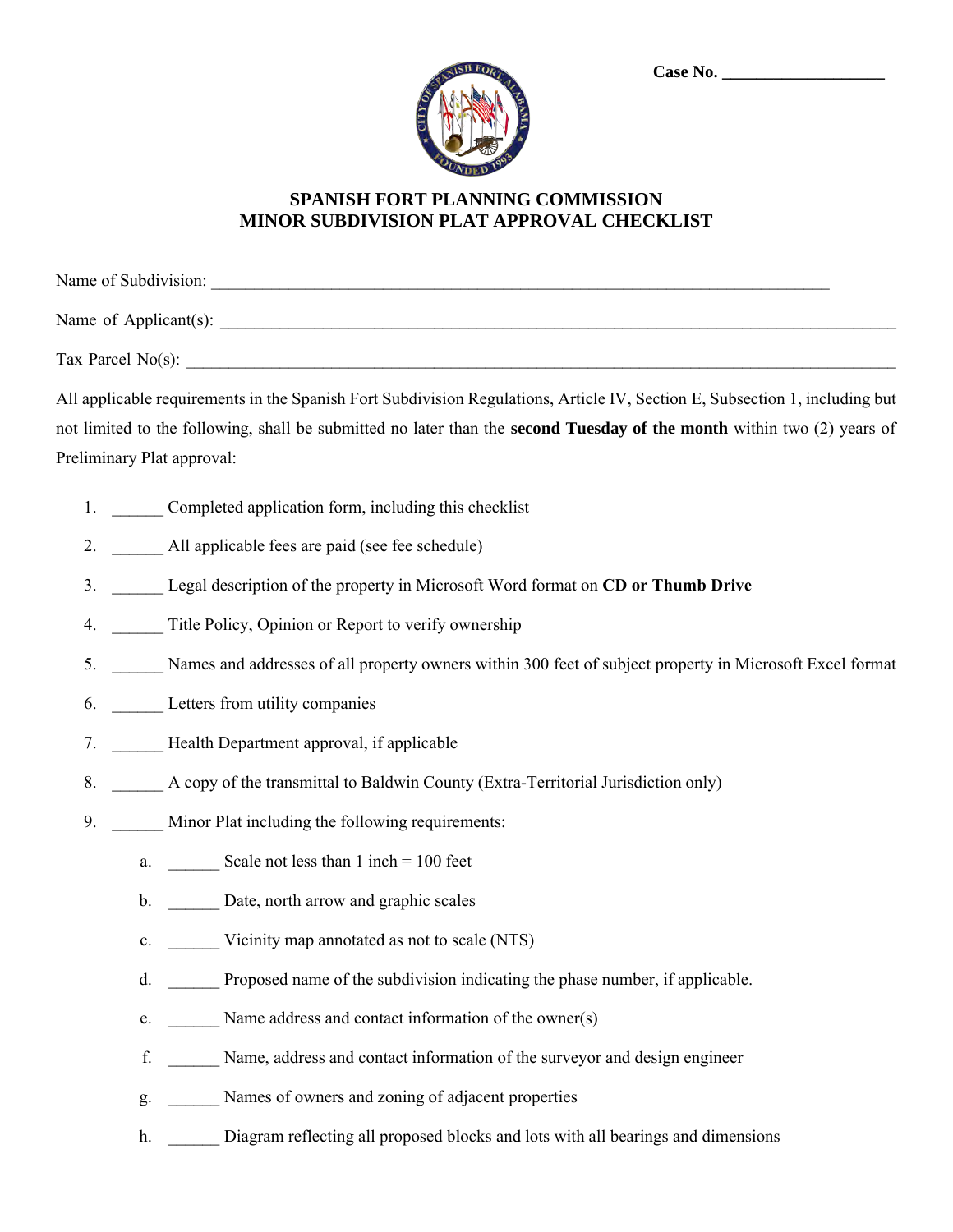| $\mathbf{o}$ |
|--------------|
|              |
| $2\pi$       |

## **SPANISH FORT PLANNING COMMISSION MINOR SUBDIVISION PLAT APPROVAL CHECKLIST**

| Name of Subdivision:                                                                                                          |  |
|-------------------------------------------------------------------------------------------------------------------------------|--|
| Name of Applicant(s): $\qquad \qquad$                                                                                         |  |
| Tax Parcel $No(s)$ :                                                                                                          |  |
| All applicable requirements in the Spanish Fort Subdivision Regulations, Article IV, Section E, Subsection 1, including but   |  |
| not limited to the following, shall be submitted no later than the <b>second Tuesday of the month</b> within two (2) years of |  |

## Preliminary Plat approval:

- 1. Completed application form, including this checklist
- 2. \_\_\_\_\_\_ All applicable fees are paid (see fee schedule)
- 3. \_\_\_\_\_\_ Legal description of the property in Microsoft Word format on **CD or Thumb Drive**
- 4. Title Policy, Opinion or Report to verify ownership
- 5. \_\_\_\_\_\_ Names and addresses of all property owners within 300 feet of subject property in Microsoft Excel format
- 6. Letters from utility companies
- 7. **Health Department approval, if applicable**
- 8. A copy of the transmittal to Baldwin County (Extra-Territorial Jurisdiction only)
- 9. Minor Plat including the following requirements:
	- a. Scale not less than  $1$  inch = 100 feet
	- b. Date, north arrow and graphic scales
	- c. Vicinity map annotated as not to scale (NTS)
	- d. Proposed name of the subdivision indicating the phase number, if applicable.
	- e. Name address and contact information of the owner(s)
	- f. \_\_\_\_\_\_ Name, address and contact information of the surveyor and design engineer
	- g. \_\_\_\_\_\_ Names of owners and zoning of adjacent properties
	- h. Diagram reflecting all proposed blocks and lots with all bearings and dimensions